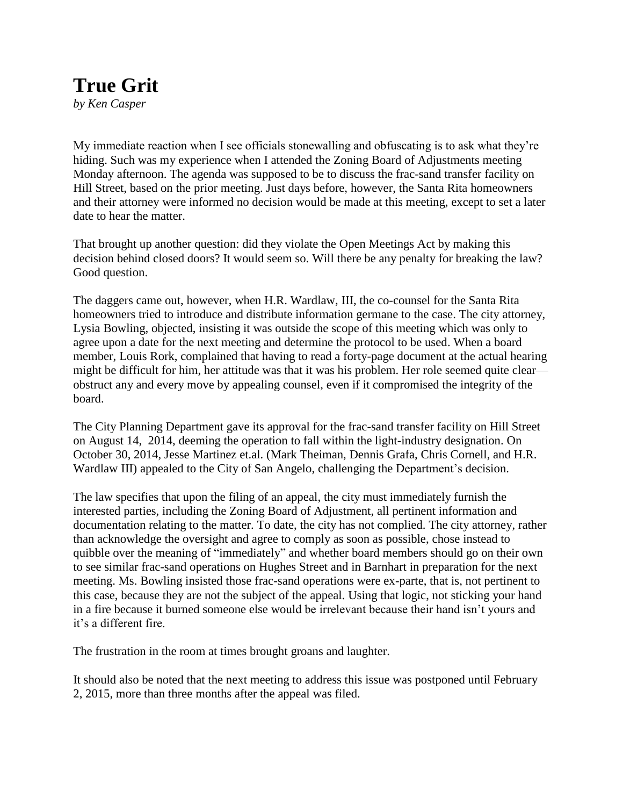## **True Grit**

*by Ken Casper*

My immediate reaction when I see officials stonewalling and obfuscating is to ask what they're hiding. Such was my experience when I attended the Zoning Board of Adjustments meeting Monday afternoon. The agenda was supposed to be to discuss the frac-sand transfer facility on Hill Street, based on the prior meeting. Just days before, however, the Santa Rita homeowners and their attorney were informed no decision would be made at this meeting, except to set a later date to hear the matter.

That brought up another question: did they violate the Open Meetings Act by making this decision behind closed doors? It would seem so. Will there be any penalty for breaking the law? Good question.

The daggers came out, however, when H.R. Wardlaw, III, the co-counsel for the Santa Rita homeowners tried to introduce and distribute information germane to the case. The city attorney, Lysia Bowling, objected, insisting it was outside the scope of this meeting which was only to agree upon a date for the next meeting and determine the protocol to be used. When a board member, Louis Rork, complained that having to read a forty-page document at the actual hearing might be difficult for him, her attitude was that it was his problem. Her role seemed quite clear obstruct any and every move by appealing counsel, even if it compromised the integrity of the board.

The City Planning Department gave its approval for the frac-sand transfer facility on Hill Street on August 14, 2014, deeming the operation to fall within the light-industry designation. On October 30, 2014, Jesse Martinez et.al. (Mark Theiman, Dennis Grafa, Chris Cornell, and H.R. Wardlaw III) appealed to the City of San Angelo, challenging the Department's decision.

The law specifies that upon the filing of an appeal, the city must immediately furnish the interested parties, including the Zoning Board of Adjustment, all pertinent information and documentation relating to the matter. To date, the city has not complied. The city attorney, rather than acknowledge the oversight and agree to comply as soon as possible, chose instead to quibble over the meaning of "immediately" and whether board members should go on their own to see similar frac-sand operations on Hughes Street and in Barnhart in preparation for the next meeting. Ms. Bowling insisted those frac-sand operations were ex-parte, that is, not pertinent to this case, because they are not the subject of the appeal. Using that logic, not sticking your hand in a fire because it burned someone else would be irrelevant because their hand isn't yours and it's a different fire.

The frustration in the room at times brought groans and laughter.

It should also be noted that the next meeting to address this issue was postponed until February 2, 2015, more than three months after the appeal was filed.